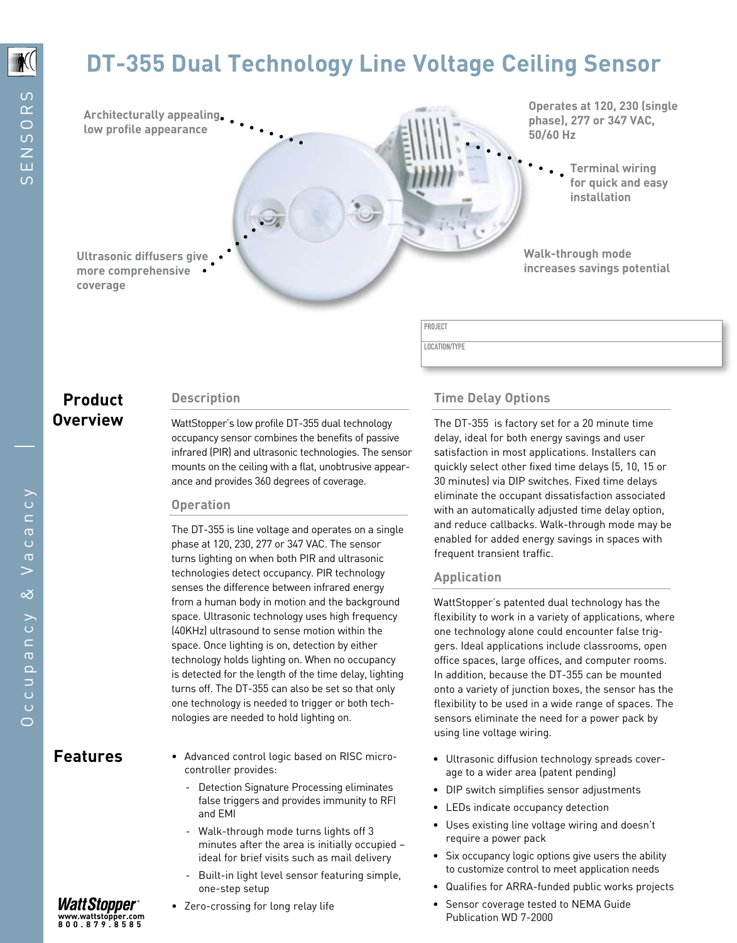## **DT-355 Dual Technology Line Voltage Ceiling Sensor**

**Architecturally appealing low profile appearance** 

**Operates at 120, 230 (single phase), 277 or 347 VAC, 50/60 Hz**

> **Terminal wiring for quick and easy installation**

**Walk-through mode increases savings potential**

**Ultrasonic diffusers give more comprehensive coverage**

## **Product Description Overview**

WattStopper's low profile DT-355 dual technology occupancy sensor combines the benefits of passive infrared (PIR) and ultrasonic technologies. The sensor mounts on the ceiling with a flat, unobtrusive appearance and provides 360 degrees of coverage.

## **Operation**

The DT-355 is line voltage and operates on a single phase at 120, 230, 277 or 347 VAC. The sensor turns lighting on when both PIR and ultrasonic technologies detect occupancy. PIR technology senses the difference between infrared energy from a human body in motion and the background space. Ultrasonic technology uses high frequency (40KHz) ultrasound to sense motion within the space. Once lighting is on, detection by either technology holds lighting on. When no occupancy is detected for the length of the time delay, lighting turns off. The DT-355 can also be set so that only one technology is needed to trigger or both technologies are needed to hold lighting on.

- Advanced control logic based on RISC microcontroller provides: Features • Advanced control logic based on RISC micro- • Ultrasonic diffusion technology spreads cover-
	- Detection Signature Processing eliminates false triggers and provides immunity to RFI and EMI
	- Walk-through mode turns lights off 3 minutes after the area is initially occupied – ideal for brief visits such as mail delivery
	- Built-in light level sensor featuring simple, one-step setup
	- • Zero-crossing for long relay life

## **Time Delay Options**

PROJECT LOCATION/TYPE

> The DT-355 is factory set for a 20 minute time delay, ideal for both energy savings and user satisfaction in most applications. Installers can quickly select other fixed time delays (5, 10, 15 or 30 minutes) via DIP switches. Fixed time delays eliminate the occupant dissatisfaction associated with an automatically adjusted time delay option, and reduce callbacks. Walk-through mode may be enabled for added energy savings in spaces with frequent transient traffic.

## **Application**

WattStopper's patented dual technology has the flexibility to work in a variety of applications, where one technology alone could encounter false triggers. Ideal applications include classrooms, open office spaces, large offices, and computer rooms. In addition, because the DT-355 can be mounted onto a variety of junction boxes, the sensor has the flexibility to be used in a wide range of spaces. The sensors eliminate the need for a power pack by using line voltage wiring.

- age to a wider area (patent pending)
- • DIP switch simplifies sensor adjustments
- LEDs indicate occupancy detection
- • Uses existing line voltage wiring and doesn't require a power pack
- Six occupancy logic options give users the ability to customize control to meet application needs
- • Qualifies for ARRA-funded public works projects
- Sensor coverage tested to NEMA Guide Publication WD 7-2000

WattStopper **www.wattstopper.com 800.879.8585**